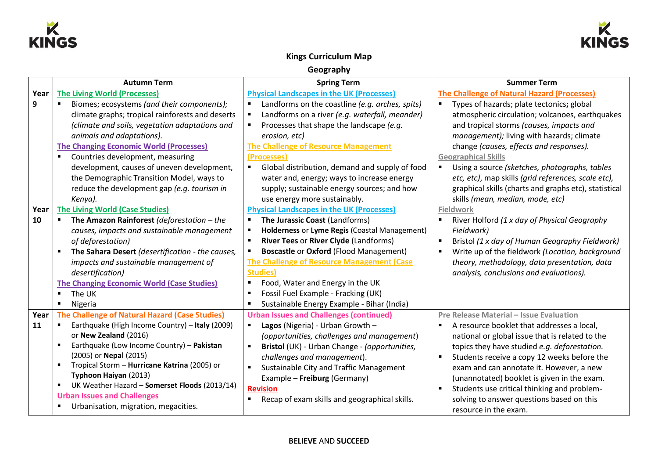



# **Kings Curriculum Map**

**Geography**

|      | <b>Autumn Term</b>                                | <b>Spring Term</b>                                           | <b>Summer Term</b>                                               |
|------|---------------------------------------------------|--------------------------------------------------------------|------------------------------------------------------------------|
| Year | <b>The Living World (Processes)</b>               | <b>Physical Landscapes in the UK (Processes)</b>             | <b>The Challenge of Natural Hazard (Processes)</b>               |
| 9    | Biomes; ecosystems (and their components);        | Landforms on the coastline (e.g. arches, spits)<br>٠         | Types of hazards; plate tectonics; global<br>٠                   |
|      | climate graphs; tropical rainforests and deserts  | Landforms on a river (e.g. waterfall, meander)               | atmospheric circulation; volcanoes, earthquakes                  |
|      | (climate and soils, vegetation adaptations and    | Processes that shape the landscape (e.g.                     | and tropical storms (causes, impacts and                         |
|      | animals and adaptations).                         | erosion, etc)                                                | management); living with hazards; climate                        |
|      | <b>The Changing Economic World (Processes)</b>    | <b>The Challenge of Resource Management</b>                  | change (causes, effects and responses).                          |
|      | Countries development, measuring                  | (Processes)                                                  | <b>Geographical Skills</b>                                       |
|      | development, causes of uneven development,        | Global distribution, demand and supply of food<br>٠          | Using a source (sketches, photographs, tables                    |
|      | the Demographic Transition Model, ways to         | water and, energy; ways to increase energy                   | etc, etc), map skills (grid references, scale etc),              |
|      | reduce the development gap (e.g. tourism in       | supply; sustainable energy sources; and how                  | graphical skills (charts and graphs etc), statistical            |
|      | Kenya).                                           | use energy more sustainably.                                 | skills (mean, median, mode, etc)                                 |
| Year | <b>The Living World (Case Studies)</b>            | <b>Physical Landscapes in the UK (Processes)</b>             | <b>Fieldwork</b>                                                 |
| 10   | The Amazon Rainforest (deforestation $-$ the      | The Jurassic Coast (Landforms)                               | $\blacksquare$<br>River Holford (1 x day of Physical Geography   |
|      | causes, impacts and sustainable management        | Holderness or Lyme Regis (Coastal Management)                | Fieldwork)                                                       |
|      | of deforestation)                                 | River Tees or River Clyde (Landforms)<br>$\blacksquare$      | Bristol (1 x day of Human Geography Fieldwork)<br>$\blacksquare$ |
|      | The Sahara Desert (desertification - the causes,  | <b>Boscastle or Oxford (Flood Management)</b>                | Write up of the fieldwork (Location, background                  |
|      | impacts and sustainable management of             | <b>The Challenge of Resource Management (Case</b>            | theory, methodology, data presentation, data                     |
|      | desertification)                                  | <b>Studies</b> )                                             | analysis, conclusions and evaluations).                          |
|      | <b>The Changing Economic World (Case Studies)</b> | Food, Water and Energy in the UK<br>$\blacksquare$           |                                                                  |
|      | The UK                                            | Fossil Fuel Example - Fracking (UK)<br>$\blacksquare$        |                                                                  |
|      | Nigeria                                           | Sustainable Energy Example - Bihar (India)<br>$\blacksquare$ |                                                                  |
| Year | The Challenge of Natural Hazard (Case Studies)    | <b>Urban Issues and Challenges (continued)</b>               | Pre Release Material - Issue Evaluation                          |
| 11   | Earthquake (High Income Country) - Italy (2009)   | Lagos (Nigeria) - Urban Growth -<br>$\blacksquare$           | A resource booklet that addresses a local,                       |
|      | or New Zealand (2016)                             | (opportunities, challenges and management)                   | national or global issue that is related to the                  |
|      | Earthquake (Low Income Country) - Pakistan        | Bristol (UK) - Urban Change - (opportunities,                | topics they have studied e.g. deforestation.                     |
|      | (2005) or Nepal (2015)                            | challenges and management).                                  | Students receive a copy 12 weeks before the                      |
|      | Tropical Storm - Hurricane Katrina (2005) or      | Sustainable City and Traffic Management<br>$\blacksquare$    | exam and can annotate it. However, a new                         |
|      | Typhoon Haiyan (2013)                             | Example - Freiburg (Germany)                                 | (unannotated) booklet is given in the exam.                      |
|      | UK Weather Hazard - Somerset Floods (2013/14)     | <b>Revision</b>                                              | Students use critical thinking and problem-                      |
|      | <b>Urban Issues and Challenges</b>                | Recap of exam skills and geographical skills.                | solving to answer questions based on this                        |
|      | Urbanisation, migration, megacities.              |                                                              | resource in the exam.                                            |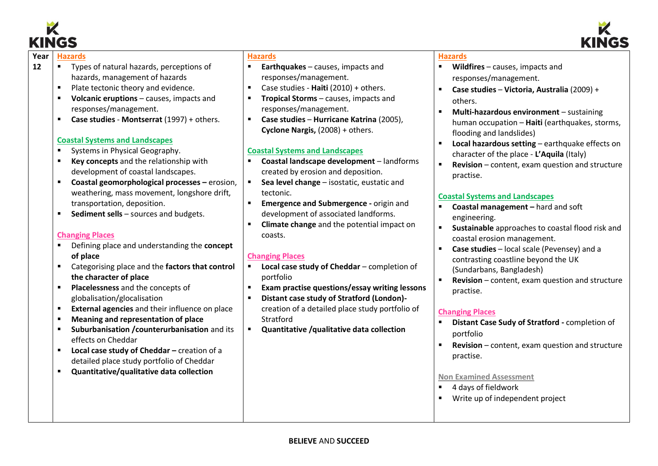



- **12** Types of natural hazards, perceptions of hazards, management of hazards
	- Plate tectonic theory and evidence.
	- **Volcanic eruptions** causes, impacts and responses/management.
	- **Case studies Montserrat** (1997) + others.

### **Coastal Systems and Landscapes**

- Systems in Physical Geography.
- **Key concepts** and the relationship with development of coastal landscapes.
- **Coastal geomorphological processes –** erosion, weathering, mass movement, longshore drift, transportation, deposition.
- **Sediment sells** sources and budgets.

# **Changing Places**

- Defining place and understanding the **concept of place**
- Categorising place and the **factors that control the character of place**
- **Placelessness** and the concepts of globalisation/glocalisation
- **External agencies** and their influence on place
- **Meaning and representation of place**
- **Suburbanisation /counterurbanisation** and its effects on Cheddar
- **Local case study of Cheddar** creation of a detailed place study portfolio of Cheddar
- **Quantitative/qualitative data collection**

## **Hazards**

- **Earthquakes** causes, impacts and responses/management.
- Case studies **Haiti** (2010) + others.
- **<u>■** Tropical Storms causes, impacts and</u> responses/management.
- **Case studies Hurricane Katrina** (2005), **Cyclone Nargis,** (2008) + others.

# **Coastal Systems and Landscapes**

- **Coastal landscape development** landforms created by erosion and deposition.
- **Sea level change** isostatic, eustatic and tectonic.
- **Emergence and Submergence -** origin and development of associated landforms.
- **Climate change** and the potential impact on coasts.

# **Changing Places**

- **Local case study of Cheddar** completion of portfolio
- **Exam practise questions/essay writing lessons**
- **Distant case study of Stratford (London)** creation of a detailed place study portfolio of **Stratford**
- **Quantitative /qualitative data collection**

# **Hazards**

- Wildfires causes, impacts and responses/management.
- **Case studies Victoria, Australia** (2009) + others.
- **Multi-hazardous environment** sustaining human occupation – **Haiti** (earthquakes, storms, flooding and landslides)
- **Local hazardous setting** earthquake effects on character of the place - **L'Aquila** (Italy)
- **Revision** content, exam question and structure practise.

# **Coastal Systems and Landscapes**

- **Coastal management –** hard and soft engineering.
- **Sustainable** approaches to coastal flood risk and coastal erosion management.
- **Case studies** local scale (Pevensey) and a contrasting coastline beyond the UK (Sundarbans, Bangladesh)
- **Revision** content, exam question and structure practise.

# **Changing Places**

- **Distant Case Sudy of Stratford -** completion of portfolio
- **Revision** content, exam question and structure practise.

### **Non Examined Assessment**

- 4 days of fieldwork
- Write up of independent project



 $\overline{a}$